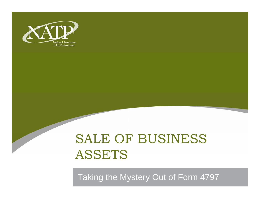

## SALE OF BUSINESS ASSETS

Taking the Mystery Out of Form 4797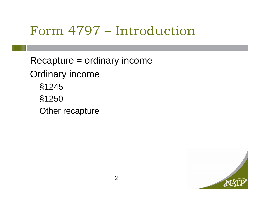## Form 4797 – Introduction

Recapture = ordinary income

Ordinary income

§1245 §1250

Other recapture

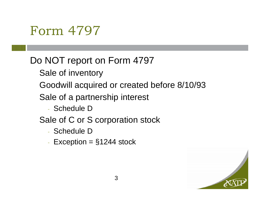### Do NOT report on Form 4797

- Sale of inventory
- Goodwill acquired or created before 8/10/93
- Sale of a partnership interest
	- Schedule D
- Sale of C or S corporation stock
	- Schedule D
	- Exception  $=$   $§1244$  stock

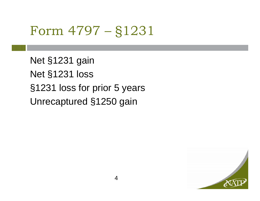## Form 4797 – §1231

Net §1231 gain Net §1231 loss §1231 loss for prior 5 years Unrecaptured §1250 gain

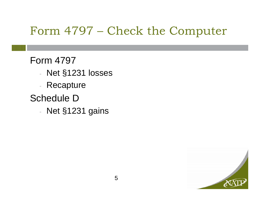### Form 4797 – Check the Computer

#### Form 4797

- Net §1231 losses
- Recapture

### Schedule D

- Net §1231 gains

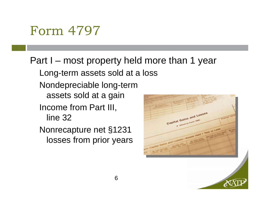Part I – most property held more than 1 year Long-term assets sold at a loss Nondepreciable long-term assets sold at a gain Income from Part III, Capital Gains and Losses line 32al Gains and tops. Nonrecapture net §1231

losses from prior years

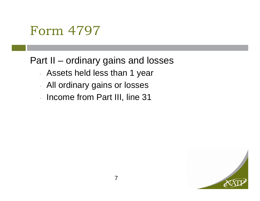### Part II – ordinary gains and losses

- Assets held less than 1 year
- All ordinary gains or losses
- Income from Part III, line 31

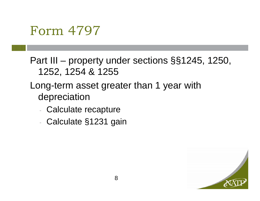Part III – property under sections §§1245, 1250, 1252, 1254 & 1255

#### Long-term asset greater than 1 year with depreciation

- Calculate recapture
- Calculate §1231 gain

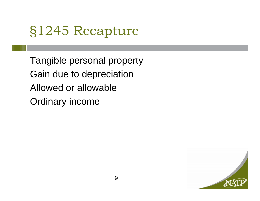## §1245 Recapture

Tangible personal property Gain due to depreciation Allowed or allowableOrdinary income

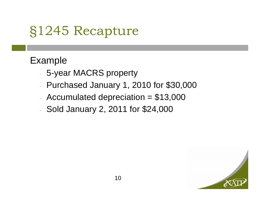# §1245 Recapture

#### Example

- 5-year MACRS property
- Purchased January 1, 2010 for \$30,000
- Accumulated depreciation  $= $13,000$
- Sold January 2, 2011 for \$24,000

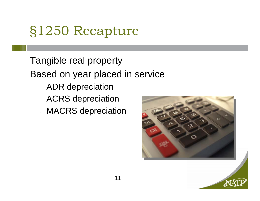# §1250 Recapture

Tangible real property

Based on year placed in service

- ADR depreciation
- ACRS depreciation
- MACRS depreciation



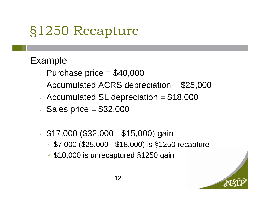# §1250 Recapture

#### Example

- Purchase price  $= $40,000$
- Accumulated ACRS depreciation  $= $25,000$
- Accumulated SL depreciation  $= $18,000$
- $-$  Sales price  $= $32,000$
- \$17,000 (\$32,000 \$15,000) gain
	- \* \$7,000 (\$25,000 \$18,000) is §1250 recapture
	- \* \$10,000 is unrecaptured §1250 gain

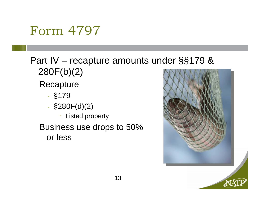### Part IV – recapture amounts under §§179 & 280F(b)(2)

**Recapture** 

- §179
- $-$  §280 $F(d)(2)$ 
	- Listed property
- Business use drops to 50% or less



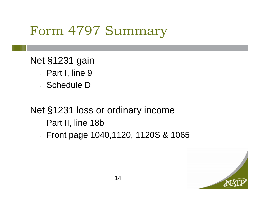## Form 4797 Summary

#### Net §1231 gain

- Part I, line 9
- Schedule D

### Net §1231 loss or ordinary income

- Part II, line 18b
- Front page 1040,1120, 1120S & 1065

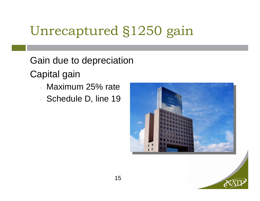# Unrecaptured §1250 gain

Gain due to depreciation

Capital gain

- Maximum 25% rate
- Schedule D, line 19



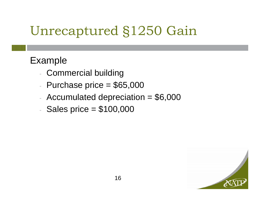# Unrecaptured §1250 Gain

#### Example

- Commercial building
- Purchase price  $= $65,000$
- Accumulated depreciation  $= $6,000$
- Sales price  $= $100,000$